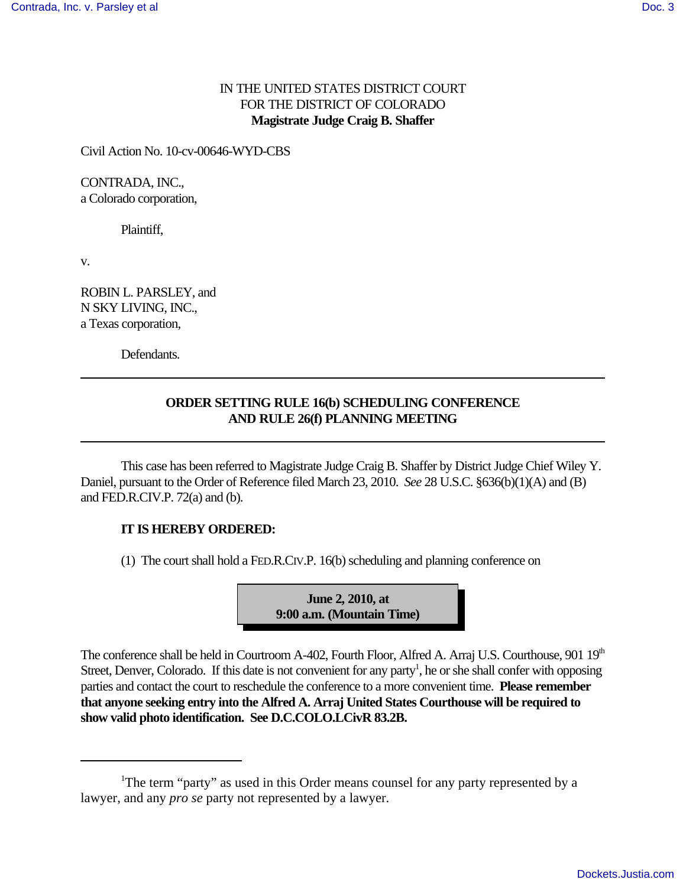## IN THE UNITED STATES DISTRICT COURT FOR THE DISTRICT OF COLORADO **Magistrate Judge Craig B. Shaffer**

Civil Action No. 10-cv-00646-WYD-CBS

CONTRADA, INC., a Colorado corporation,

Plaintiff,

v.

ROBIN L. PARSLEY, and N SKY LIVING, INC., a Texas corporation,

Defendants.

## **ORDER SETTING RULE 16(b) SCHEDULING CONFERENCE AND RULE 26(f) PLANNING MEETING**

This case has been referred to Magistrate Judge Craig B. Shaffer by District Judge Chief Wiley Y. Daniel, pursuant to the Order of Reference filed March 23, 2010. *See* 28 U.S.C. §636(b)(1)(A) and (B) and FED.R.CIV.P. 72(a) and (b).

## **IT IS HEREBY ORDERED:**

 $(1)$  The court shall hold a FED.R.CIV.P. 16(b) scheduling and planning conference on

**June 2, 2010, at 9:00 a.m. (Mountain Time)**

The conference shall be held in Courtroom A-402, Fourth Floor, Alfred A. Arraj U.S. Courthouse, 901 19<sup>th</sup> Street, Denver, Colorado. If this date is not convenient for any party<sup>1</sup>, he or she shall confer with opposing parties and contact the court to reschedule the conference to a more convenient time. **Please remember that anyone seeking entry into the Alfred A. Arraj United States Courthouse will be required to show valid photo identification. See D.C.COLO.LCivR 83.2B.**

<sup>&</sup>lt;sup>1</sup>The term "party" as used in this Order means counsel for any party represented by a lawyer, and any *pro se* party not represented by a lawyer.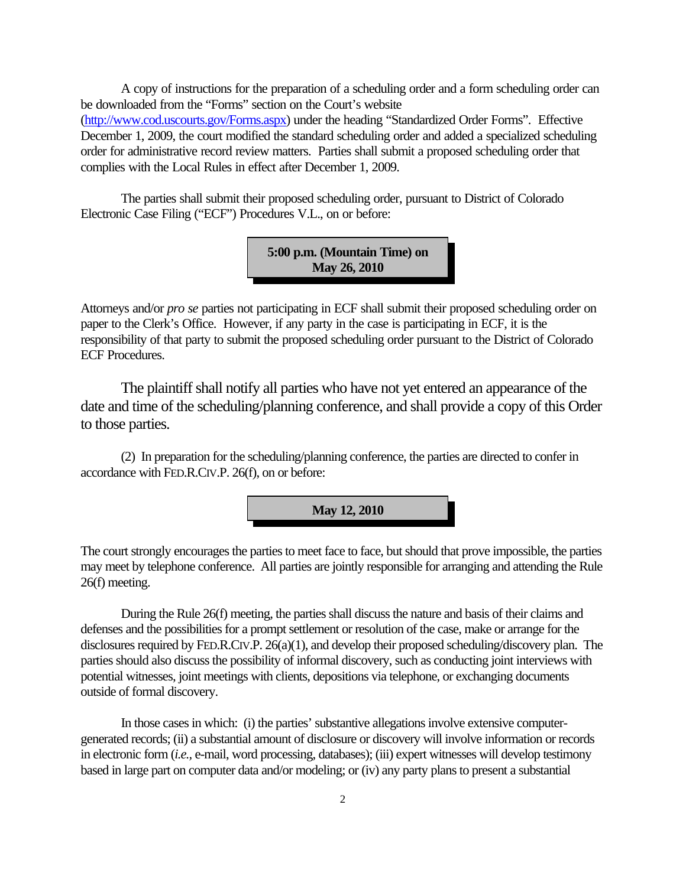A copy of instructions for the preparation of a scheduling order and a form scheduling order can be downloaded from the "Forms" section on the Court's website (http://www.cod.uscourts.gov/Forms.aspx) under the heading "Standardized Order Forms". Effective December 1, 2009, the court modified the standard scheduling order and added a specialized scheduling order for administrative record review matters. Parties shall submit a proposed scheduling order that complies with the Local Rules in effect after December 1, 2009.

The parties shall submit their proposed scheduling order, pursuant to District of Colorado Electronic Case Filing ("ECF") Procedures V.L., on or before:

> **5:00 p.m. (Mountain Time) on May 26, 2010**

Attorneys and/or *pro se* parties not participating in ECF shall submit their proposed scheduling order on paper to the Clerk's Office. However, if any party in the case is participating in ECF, it is the responsibility of that party to submit the proposed scheduling order pursuant to the District of Colorado ECF Procedures.

The plaintiff shall notify all parties who have not yet entered an appearance of the date and time of the scheduling/planning conference, and shall provide a copy of this Order to those parties.

(2) In preparation for the scheduling/planning conference, the parties are directed to confer in accordance with FED.R.CIV.P. 26(f), on or before:



The court strongly encourages the parties to meet face to face, but should that prove impossible, the parties may meet by telephone conference. All parties are jointly responsible for arranging and attending the Rule 26(f) meeting.

During the Rule 26(f) meeting, the parties shall discuss the nature and basis of their claims and defenses and the possibilities for a prompt settlement or resolution of the case, make or arrange for the disclosures required by FED.R.CIV.P. 26(a)(1), and develop their proposed scheduling/discovery plan. The parties should also discuss the possibility of informal discovery, such as conducting joint interviews with potential witnesses, joint meetings with clients, depositions via telephone, or exchanging documents outside of formal discovery.

In those cases in which: (i) the parties' substantive allegations involve extensive computergenerated records; (ii) a substantial amount of disclosure or discovery will involve information or records in electronic form (*i.e.,* e-mail, word processing, databases); (iii) expert witnesses will develop testimony based in large part on computer data and/or modeling; or (iv) any party plans to present a substantial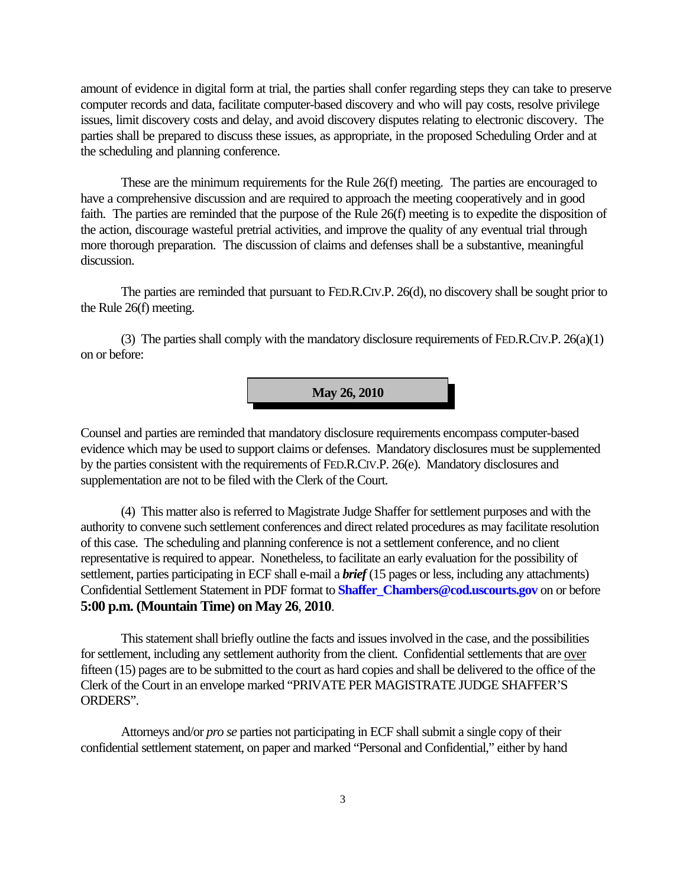amount of evidence in digital form at trial, the parties shall confer regarding steps they can take to preserve computer records and data, facilitate computer-based discovery and who will pay costs, resolve privilege issues, limit discovery costs and delay, and avoid discovery disputes relating to electronic discovery. The parties shall be prepared to discuss these issues, as appropriate, in the proposed Scheduling Order and at the scheduling and planning conference.

These are the minimum requirements for the Rule 26(f) meeting. The parties are encouraged to have a comprehensive discussion and are required to approach the meeting cooperatively and in good faith. The parties are reminded that the purpose of the Rule 26(f) meeting is to expedite the disposition of the action, discourage wasteful pretrial activities, and improve the quality of any eventual trial through more thorough preparation. The discussion of claims and defenses shall be a substantive, meaningful discussion.

The parties are reminded that pursuant to FED.R.CIV.P. 26(d), no discovery shall be sought prior to the Rule 26(f) meeting.

(3) The parties shall comply with the mandatory disclosure requirements of FED.R.CIV.P. 26(a)(1) on or before:

**May 26, 2010**

Counsel and parties are reminded that mandatory disclosure requirements encompass computer-based evidence which may be used to support claims or defenses. Mandatory disclosures must be supplemented by the parties consistent with the requirements of FED.R.CIV.P. 26(e). Mandatory disclosures and supplementation are not to be filed with the Clerk of the Court.

(4) This matter also is referred to Magistrate Judge Shaffer for settlement purposes and with the authority to convene such settlement conferences and direct related procedures as may facilitate resolution of this case. The scheduling and planning conference is not a settlement conference, and no client representative is required to appear. Nonetheless, to facilitate an early evaluation for the possibility of settlement, parties participating in ECF shall e-mail a *brief* (15 pages or less, including any attachments) Confidential Settlement Statement in PDF format to **Shaffer\_Chambers@cod.uscourts.gov** on or before **5:00 p.m. (Mountain Time) on May 26**, **2010**.

This statement shall briefly outline the facts and issues involved in the case, and the possibilities for settlement, including any settlement authority from the client. Confidential settlements that are over fifteen (15) pages are to be submitted to the court as hard copies and shall be delivered to the office of the Clerk of the Court in an envelope marked "PRIVATE PER MAGISTRATE JUDGE SHAFFER'S ORDERS".

Attorneys and/or *pro se* parties not participating in ECF shall submit a single copy of their confidential settlement statement, on paper and marked "Personal and Confidential," either by hand